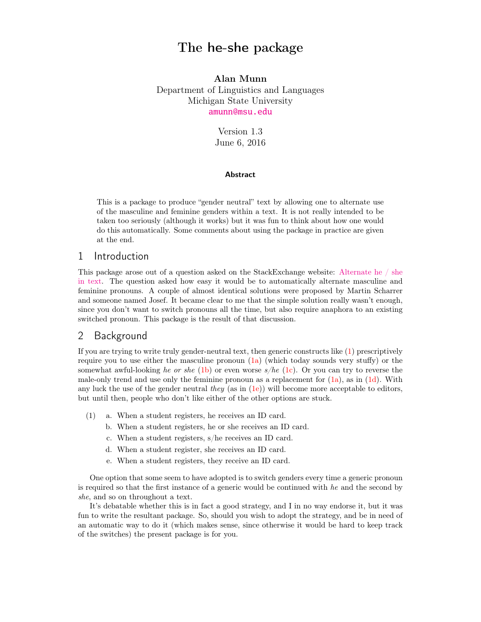# The he-she package

Alan Munn Department of Linguistics and Languages Michigan State University [amunn@msu.edu](mailto:amunn@msu.edu)

> Version 1.3 June 6, 2016

#### **Abstract**

This is a package to produce "gender neutral" text by allowing one to alternate use of the masculine and feminine genders within a text. It is not really intended to be taken too seriously (although it works) but it was fun to think about how one would do this automatically. Some comments about using the package in practice are given at the end.

# 1 Introduction

This package arose out of a question asked on the StackExchange website: [Alternate he / she](http://tex.stackexchange.com/questions/10787/) [in text.](http://tex.stackexchange.com/questions/10787/) The question asked how easy it would be to automatically alternate masculine and feminine pronouns. A couple of almost identical solutions were proposed by Martin Scharrer and someone named Josef. It became clear to me that the simple solution really wasn't enough, since you don't want to switch pronouns all the time, but also require anaphora to an existing switched pronoun. This package is the result of that discussion.

### 2 Background

If you are trying to write truly gender-neutral text, then generic constructs like [\(1\)](#page-0-0) prescriptively require you to use either the masculine pronoun  $(1a)$  (which today sounds very stuffy) or the somewhat awful-looking he or she [\(1b\)](#page-0-1) or even worse  $s/he$  [\(1c\)](#page-0-2). Or you can try to reverse the male-only trend and use only the feminine pronoun as a replacement for  $(1a)$ , as in  $(1d)$ . With any luck the use of the gender neutral they (as in  $(1e)$ ) will become more acceptable to editors, but until then, people who don't like either of the other options are stuck.

- <span id="page-0-2"></span><span id="page-0-1"></span><span id="page-0-0"></span>(1) a. When a student registers, he receives an ID card.
	- b. When a student registers, he or she receives an ID card.
	- c. When a student registers, s/he receives an ID card.
	- d. When a student register, she receives an ID card.
	- e. When a student registers, they receive an ID card.

<span id="page-0-4"></span><span id="page-0-3"></span>One option that some seem to have adopted is to switch genders every time a generic pronoun is required so that the first instance of a generic would be continued with  $he$  and the second by she, and so on throughout a text.

It's debatable whether this is in fact a good strategy, and I in no way endorse it, but it was fun to write the resultant package. So, should you wish to adopt the strategy, and be in need of an automatic way to do it (which makes sense, since otherwise it would be hard to keep track of the switches) the present package is for you.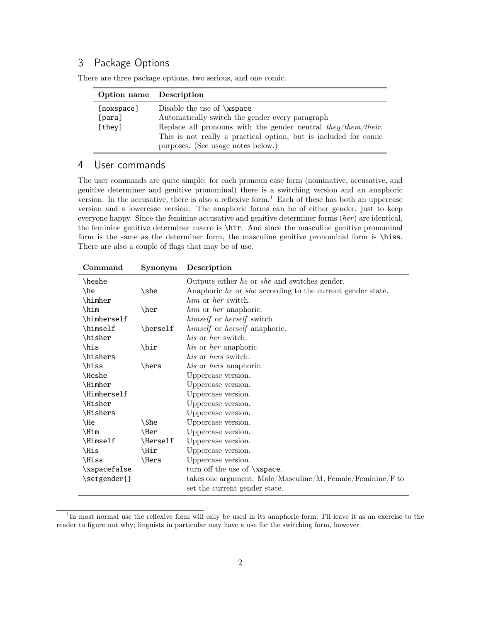# 3 Package Options

| Option name Description        |                                                                                                                                                                                                                                                           |
|--------------------------------|-----------------------------------------------------------------------------------------------------------------------------------------------------------------------------------------------------------------------------------------------------------|
| [noxspace]<br>[para]<br>[thev] | Disable the use of $xspace$<br>Automatically switch the gender every paragraph<br>Replace all pronouns with the gender neutral they/them/their.<br>This is not really a practical option, but is included for comic<br>purposes. (See usage notes below.) |

There are three package options, two serious, and one comic.

### 4 User commands

The user commands are quite simple: for each pronoun case form (nominative, accusative, and genitive determiner and genitive pronominal) there is a switching version and an anaphoric version. In the accusative, there is also a reflexive form.<sup>[1](#page-1-0)</sup> Each of these has both an uppercase version and a lowercase version. The anaphoric forms can be of either gender, just to keep everyone happy. Since the feminine accusative and genitive determiner forms  $(her)$  are identical, the feminine genitive determiner macro is \hir. And since the masculine genitive pronominal form is the same as the determiner form, the masculine genitive pronominal form is \hiss. There are also a couple of flags that may be of use.

| Command      | Synonym  | Description                                                 |
|--------------|----------|-------------------------------------------------------------|
| \heshe       |          | Outputs either <i>he</i> or <i>she</i> and switches gender. |
| $\heartsuit$ | \she     | Anaphoric he or she according to the current gender state.  |
| \himher      |          | him or her switch.                                          |
| \him         | \her     | him or her anaphoric.                                       |
| \himherself  |          | himself or herself switch                                   |
| \himself     | \herself | <i>himself</i> or <i>herself</i> anaphoric.                 |
| \hisher      |          | his or her switch.                                          |
| \his         | \hir     | <i>his</i> or <i>her</i> anaphoric.                         |
| \hishers     |          | his or hers switch.                                         |
| \hiss        | \hers    | <i>his</i> or <i>hers</i> anaphoric.                        |
| \Heshe       |          | Uppercase version.                                          |
| \Himher      |          | Uppercase version.                                          |
| \Himherself  |          | Uppercase version.                                          |
| \Hisher      |          | Uppercase version.                                          |
| \Hishers     |          | Uppercase version.                                          |
| \He          | \She     | Uppercase version.                                          |
| \Him         | \Her     | Uppercase version.                                          |
| \Himself     | \Herself | Uppercase version.                                          |
| \His         | \Hir     | Uppercase version.                                          |
| \Hiss        | \Hers    | Uppercase version.                                          |
| \xspacefalse |          | turn off the use of $xspace.$                               |
| \setgender{} |          | takes one argument: Male/Masculine/M, Female/Feminine/F to  |
|              |          | set the current gender state.                               |

<span id="page-1-0"></span><sup>&</sup>lt;sup>1</sup>In most normal use the reflexive form will only be used in its anaphoric form. I'll leave it as an exercise to the reader to figure out why; linguists in particular may have a use for the switching form, however.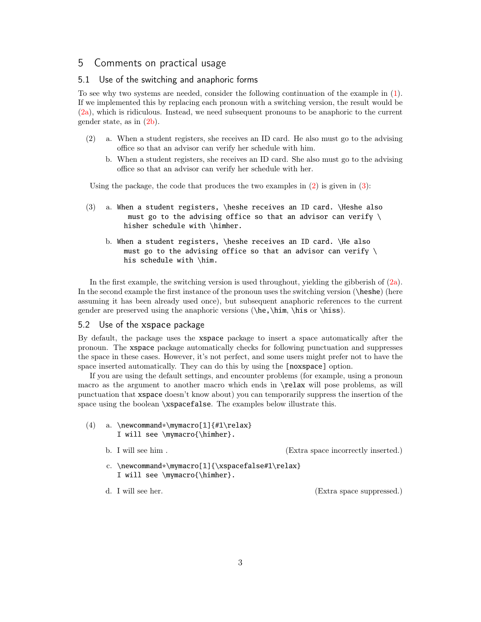# 5 Comments on practical usage

#### 5.1 Use of the switching and anaphoric forms

To see why two systems are needed, consider the following continuation of the example in [\(1\)](#page-0-0). If we implemented this by replacing each pronoun with a switching version, the result would be [\(2a\)](#page-2-0), which is ridiculous. Instead, we need subsequent pronouns to be anaphoric to the current gender state, as in  $(2b)$ .

- <span id="page-2-1"></span><span id="page-2-0"></span>(2) a. When a student registers, she receives an ID card. He also must go to the advising office so that an advisor can verify her schedule with him.
	- b. When a student registers, she receives an ID card. She also must go to the advising office so that an advisor can verify her schedule with her.

Using the package, the code that produces the two examples in  $(2)$  is given in  $(3)$ :

- <span id="page-2-2"></span>(3) a. When a student registers, \heshe receives an ID card. \Heshe also must go to the advising office so that an advisor can verify  $\setminus$ hisher schedule with \himher.
	- b. When a student registers, \heshe receives an ID card. \He also must go to the advising office so that an advisor can verify  $\setminus$ his schedule with \him.

In the first example, the switching version is used throughout, yielding the gibberish of  $(2a)$ . In the second example the first instance of the pronoun uses the switching version (\heshe) (here assuming it has been already used once), but subsequent anaphoric references to the current gender are preserved using the anaphoric versions (\he,\him, \his or \hiss).

#### 5.2 Use of the xspace package

By default, the package uses the xspace package to insert a space automatically after the pronoun. The xspace package automatically checks for following punctuation and suppresses the space in these cases. However, it's not perfect, and some users might prefer not to have the space inserted automatically. They can do this by using the [noxspace] option.

If you are using the default settings, and encounter problems (for example, using a pronoun macro as the argument to another macro which ends in \relax will pose problems, as will punctuation that xspace doesn't know about) you can temporarily suppress the insertion of the space using the boolean **\xspacefalse**. The examples below illustrate this.

- (4) a. \newcommand\*\mymacro[1]{#1\relax} I will see \mymacro{\himher}.
	-

b. I will see him . (Extra space incorrectly inserted.)

- c. \newcommand\*\mymacro[1]{\xspacefalse#1\relax} I will see \mymacro{\himher}.
- 

d. I will see her. (Extra space suppressed.)